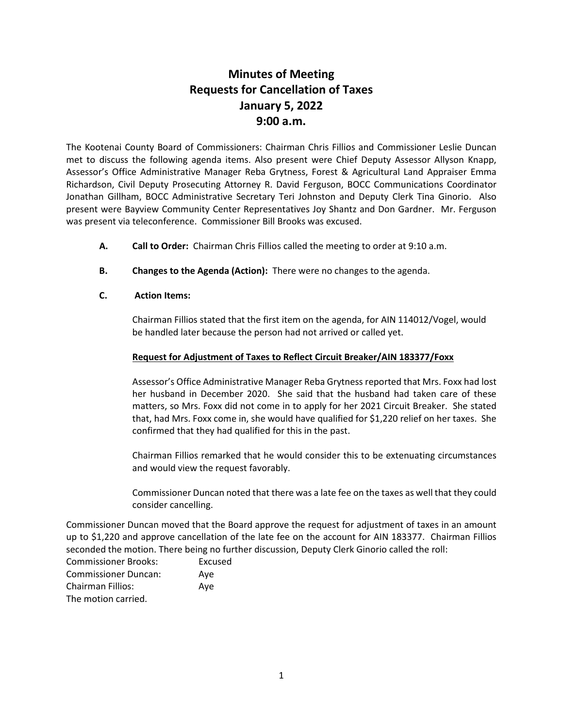# **Minutes of Meeting Requests for Cancellation of Taxes January 5, 2022 9:00 a.m.**

The Kootenai County Board of Commissioners: Chairman Chris Fillios and Commissioner Leslie Duncan met to discuss the following agenda items. Also present were Chief Deputy Assessor Allyson Knapp, Assessor's Office Administrative Manager Reba Grytness, Forest & Agricultural Land Appraiser Emma Richardson, Civil Deputy Prosecuting Attorney R. David Ferguson, BOCC Communications Coordinator Jonathan Gillham, BOCC Administrative Secretary Teri Johnston and Deputy Clerk Tina Ginorio. Also present were Bayview Community Center Representatives Joy Shantz and Don Gardner. Mr. Ferguson was present via teleconference. Commissioner Bill Brooks was excused.

- **A. Call to Order:** Chairman Chris Fillios called the meeting to order at 9:10 a.m.
- **B. Changes to the Agenda (Action):** There were no changes to the agenda.

# **C. Action Items:**

Chairman Fillios stated that the first item on the agenda, for AIN 114012/Vogel, would be handled later because the person had not arrived or called yet.

# **Request for Adjustment of Taxes to Reflect Circuit Breaker/AIN 183377/Foxx**

Assessor's Office Administrative Manager Reba Grytness reported that Mrs. Foxx had lost her husband in December 2020. She said that the husband had taken care of these matters, so Mrs. Foxx did not come in to apply for her 2021 Circuit Breaker. She stated that, had Mrs. Foxx come in, she would have qualified for \$1,220 relief on her taxes. She confirmed that they had qualified for this in the past.

Chairman Fillios remarked that he would consider this to be extenuating circumstances and would view the request favorably.

Commissioner Duncan noted that there was a late fee on the taxes as well that they could consider cancelling.

Commissioner Duncan moved that the Board approve the request for adjustment of taxes in an amount up to \$1,220 and approve cancellation of the late fee on the account for AIN 183377. Chairman Fillios seconded the motion. There being no further discussion, Deputy Clerk Ginorio called the roll:

| <b>Commissioner Brooks:</b> | Excused |
|-----------------------------|---------|
| <b>Commissioner Duncan:</b> | Ave     |
| <b>Chairman Fillios:</b>    | Ave     |
| The motion carried.         |         |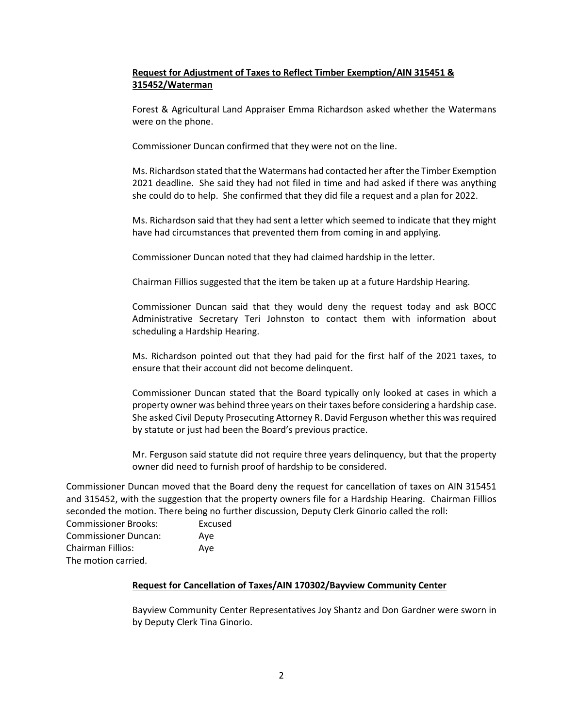# **Request for Adjustment of Taxes to Reflect Timber Exemption/AIN 315451 & 315452/Waterman**

Forest & Agricultural Land Appraiser Emma Richardson asked whether the Watermans were on the phone.

Commissioner Duncan confirmed that they were not on the line.

Ms. Richardson stated that the Watermans had contacted her after the Timber Exemption 2021 deadline. She said they had not filed in time and had asked if there was anything she could do to help. She confirmed that they did file a request and a plan for 2022.

Ms. Richardson said that they had sent a letter which seemed to indicate that they might have had circumstances that prevented them from coming in and applying.

Commissioner Duncan noted that they had claimed hardship in the letter.

Chairman Fillios suggested that the item be taken up at a future Hardship Hearing.

Commissioner Duncan said that they would deny the request today and ask BOCC Administrative Secretary Teri Johnston to contact them with information about scheduling a Hardship Hearing.

Ms. Richardson pointed out that they had paid for the first half of the 2021 taxes, to ensure that their account did not become delinquent.

Commissioner Duncan stated that the Board typically only looked at cases in which a property owner was behind three years on their taxes before considering a hardship case. She asked Civil Deputy Prosecuting Attorney R. David Ferguson whether this was required by statute or just had been the Board's previous practice.

Mr. Ferguson said statute did not require three years delinquency, but that the property owner did need to furnish proof of hardship to be considered.

Commissioner Duncan moved that the Board deny the request for cancellation of taxes on AIN 315451 and 315452, with the suggestion that the property owners file for a Hardship Hearing. Chairman Fillios seconded the motion. There being no further discussion, Deputy Clerk Ginorio called the roll:

| <b>Commissioner Brooks:</b> | Excused |
|-----------------------------|---------|
| <b>Commissioner Duncan:</b> | Ave     |
| Chairman Fillios:           | Ave     |
| The motion carried.         |         |

# **Request for Cancellation of Taxes/AIN 170302/Bayview Community Center**

Bayview Community Center Representatives Joy Shantz and Don Gardner were sworn in by Deputy Clerk Tina Ginorio.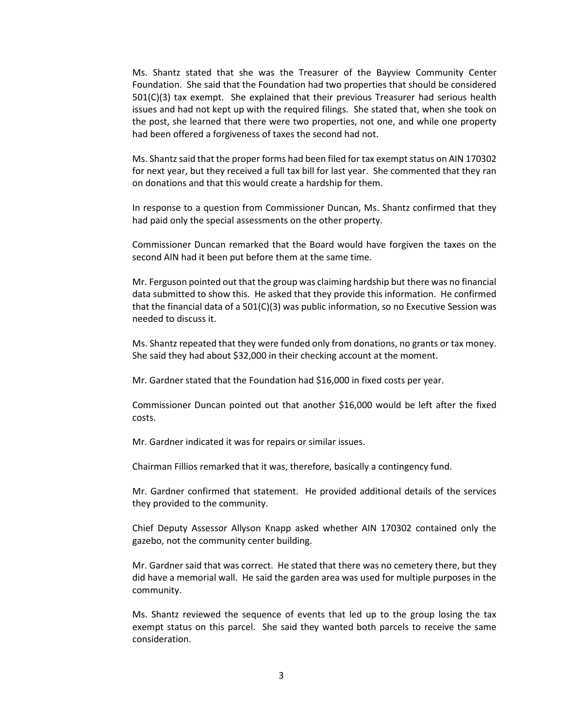Ms. Shantz stated that she was the Treasurer of the Bayview Community Center Foundation. She said that the Foundation had two properties that should be considered 501(C)(3) tax exempt. She explained that their previous Treasurer had serious health issues and had not kept up with the required filings. She stated that, when she took on the post, she learned that there were two properties, not one, and while one property had been offered a forgiveness of taxes the second had not.

Ms. Shantz said that the proper forms had been filed for tax exempt status on AIN 170302 for next year, but they received a full tax bill for last year. She commented that they ran on donations and that this would create a hardship for them.

In response to a question from Commissioner Duncan, Ms. Shantz confirmed that they had paid only the special assessments on the other property.

Commissioner Duncan remarked that the Board would have forgiven the taxes on the second AIN had it been put before them at the same time.

Mr. Ferguson pointed out that the group was claiming hardship but there was no financial data submitted to show this. He asked that they provide this information. He confirmed that the financial data of a 501(C)(3) was public information, so no Executive Session was needed to discuss it.

Ms. Shantz repeated that they were funded only from donations, no grants or tax money. She said they had about \$32,000 in their checking account at the moment.

Mr. Gardner stated that the Foundation had \$16,000 in fixed costs per year.

Commissioner Duncan pointed out that another \$16,000 would be left after the fixed costs.

Mr. Gardner indicated it was for repairs or similar issues.

Chairman Fillios remarked that it was, therefore, basically a contingency fund.

Mr. Gardner confirmed that statement. He provided additional details of the services they provided to the community.

Chief Deputy Assessor Allyson Knapp asked whether AIN 170302 contained only the gazebo, not the community center building.

Mr. Gardner said that was correct. He stated that there was no cemetery there, but they did have a memorial wall. He said the garden area was used for multiple purposes in the community.

Ms. Shantz reviewed the sequence of events that led up to the group losing the tax exempt status on this parcel. She said they wanted both parcels to receive the same consideration.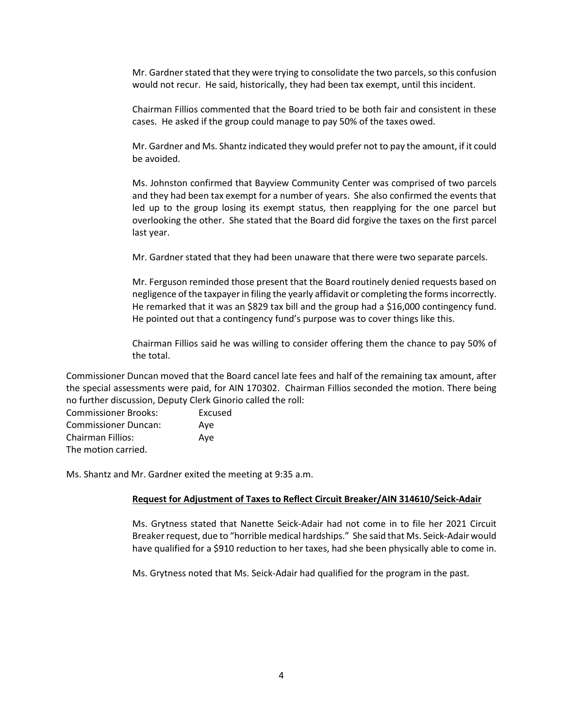Mr. Gardner stated that they were trying to consolidate the two parcels, so this confusion would not recur. He said, historically, they had been tax exempt, until this incident.

Chairman Fillios commented that the Board tried to be both fair and consistent in these cases. He asked if the group could manage to pay 50% of the taxes owed.

Mr. Gardner and Ms. Shantz indicated they would prefer not to pay the amount, if it could be avoided.

Ms. Johnston confirmed that Bayview Community Center was comprised of two parcels and they had been tax exempt for a number of years. She also confirmed the events that led up to the group losing its exempt status, then reapplying for the one parcel but overlooking the other. She stated that the Board did forgive the taxes on the first parcel last year.

Mr. Gardner stated that they had been unaware that there were two separate parcels.

Mr. Ferguson reminded those present that the Board routinely denied requests based on negligence of the taxpayer in filing the yearly affidavit or completing the formsincorrectly. He remarked that it was an \$829 tax bill and the group had a \$16,000 contingency fund. He pointed out that a contingency fund's purpose was to cover things like this.

Chairman Fillios said he was willing to consider offering them the chance to pay 50% of the total.

Commissioner Duncan moved that the Board cancel late fees and half of the remaining tax amount, after the special assessments were paid, for AIN 170302. Chairman Fillios seconded the motion. There being no further discussion, Deputy Clerk Ginorio called the roll:

Commissioner Brooks: Excused Commissioner Duncan: Aye Chairman Fillios: Aye The motion carried.

Ms. Shantz and Mr. Gardner exited the meeting at 9:35 a.m.

#### **Request for Adjustment of Taxes to Reflect Circuit Breaker/AIN 314610/Seick-Adair**

Ms. Grytness stated that Nanette Seick-Adair had not come in to file her 2021 Circuit Breaker request, due to "horrible medical hardships." She said that Ms. Seick-Adair would have qualified for a \$910 reduction to her taxes, had she been physically able to come in.

Ms. Grytness noted that Ms. Seick-Adair had qualified for the program in the past.